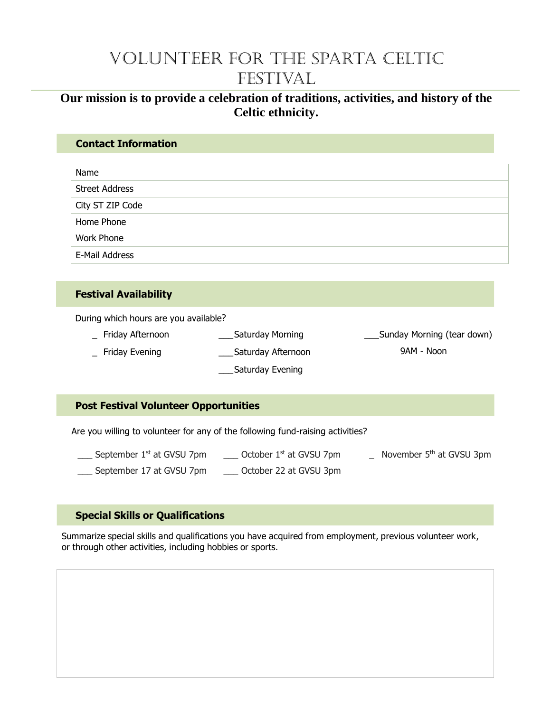# Volunteer for the Sparta Celtic FESTIVAL

# **Our mission is to provide a celebration of traditions, activities, and history of the Celtic ethnicity.**

#### **Contact Information**

| Name                  |  |
|-----------------------|--|
| <b>Street Address</b> |  |
| City ST ZIP Code      |  |
| Home Phone            |  |
| Work Phone            |  |
| E-Mail Address        |  |

### **Festival Availability**

During which hours are you available?

\_ Friday Afternoon Friday Evening \_\_\_Saturday Morning \_\_\_Saturday Afternoon \_\_\_Saturday Evening \_\_\_Sunday Morning (tear down) 9AM - Noon

### **Post Festival Volunteer Opportunities**

Are you willing to volunteer for any of the following fund-raising activities?

 $\frac{1}{10}$  September 1<sup>st</sup> at GVSU 7pm September 17 at GVSU 7pm  $\frac{1}{2}$  October 1<sup>st</sup> at GVSU 7pm \_\_\_ October 22 at GVSU 3pm \_ November 5<sup>th</sup> at GVSU 3pm

### **Special Skills or Qualifications**

Summarize special skills and qualifications you have acquired from employment, previous volunteer work, or through other activities, including hobbies or sports.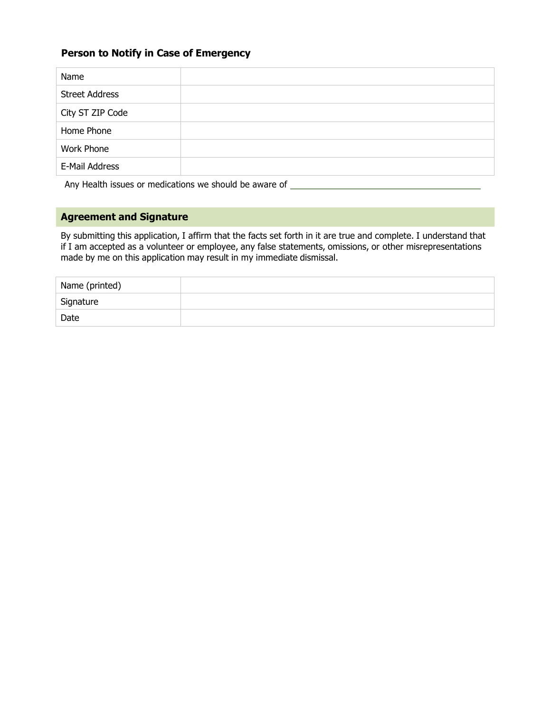#### **Person to Notify in Case of Emergency**

| Name                  |  |
|-----------------------|--|
| <b>Street Address</b> |  |
| City ST ZIP Code      |  |
| Home Phone            |  |
| <b>Work Phone</b>     |  |
| E-Mail Address        |  |

Any Health issues or medications we should be aware of \_\_\_\_\_\_\_\_\_\_\_\_\_\_\_\_\_\_\_\_\_\_\_\_\_\_

#### **Agreement and Signature**

By submitting this application, I affirm that the facts set forth in it are true and complete. I understand that if I am accepted as a volunteer or employee, any false statements, omissions, or other misrepresentations made by me on this application may result in my immediate dismissal.

| Name (printed) |  |
|----------------|--|
| Signature      |  |
| Date           |  |